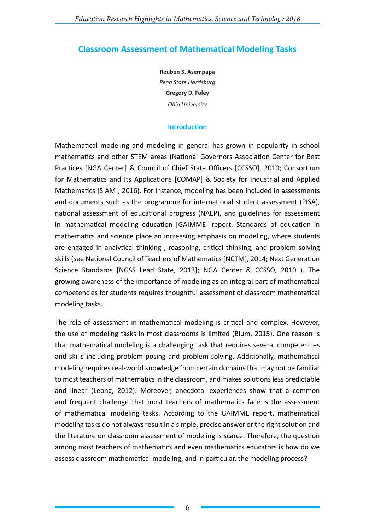# **Classroom Assessment of Mathematical Modeling Tasks**

**Reuben S. Asempapa** *Penn State Harrisburg* **Gregory D. Foley** *Ohio University*

## **Introduction**

Mathematical modeling and modeling in general has grown in popularity in school mathematics and other STEM areas (National Governors Association Center for Best Practices [NGA Center] & Council of Chief State Officers [CCSSO], 2010; Consortium for Mathematics and Its Applications [COMAP] & Society for Industrial and Applied Mathematics [SIAM], 2016). For instance, modeling has been included in assessments and documents such as the programme for international student assessment (PISA), national assessment of educational progress (NAEP), and guidelines for assessment in mathematical modeling education [GAIMME] report. Standards of education in mathematics and science place an increasing emphasis on modeling, where students are engaged in analytical thinking , reasoning, critical thinking, and problem solving skills (see National Council of Teachers of Mathematics [NCTM], 2014; Next Generation Science Standards [NGSS Lead State, 2013]; NGA Center & CCSSO, 2010 ). The growing awareness of the importance of modeling as an integral part of mathematical competencies for students requires thoughtful assessment of classroom mathematical modeling tasks.

The role of assessment in mathematical modeling is critical and complex. However, the use of modeling tasks in most classrooms is limited (Blum, 2015). One reason is that mathematical modeling is a challenging task that requires several competencies and skills including problem posing and problem solving. Additionally, mathematical modeling requires real-world knowledge from certain domains that may not be familiar to most teachers of mathematics in the classroom, and makes solutions less predictable and linear (Leong, 2012). Moreover, anecdotal experiences show that a common and frequent challenge that most teachers of mathematics face is the assessment of mathematical modeling tasks. According to the GAIMME report, mathematical modeling tasks do not always result in a simple, precise answer or the right solution and the literature on classroom assessment of modeling is scarce. Therefore, the question among most teachers of mathematics and even mathematics educators is how do we assess classroom mathematical modeling, and in particular, the modeling process?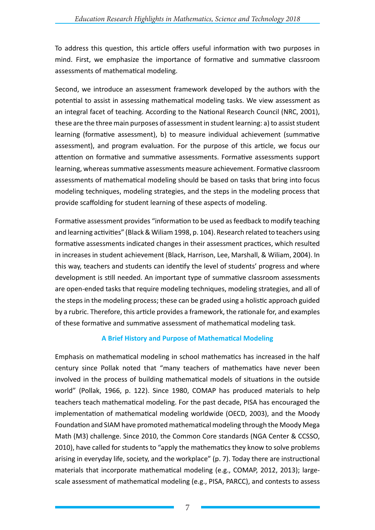To address this question, this article offers useful information with two purposes in mind. First, we emphasize the importance of formative and summative classroom assessments of mathematical modeling.

Second, we introduce an assessment framework developed by the authors with the potential to assist in assessing mathematical modeling tasks. We view assessment as an integral facet of teaching. According to the National Research Council (NRC, 2001), these are the three main purposes of assessment in student learning: a) to assist student learning (formative assessment), b) to measure individual achievement (summative assessment), and program evaluation. For the purpose of this article, we focus our attention on formative and summative assessments. Formative assessments support learning, whereas summative assessments measure achievement. Formative classroom assessments of mathematical modeling should be based on tasks that bring into focus modeling techniques, modeling strategies, and the steps in the modeling process that provide scaffolding for student learning of these aspects of modeling.

Formative assessment provides "information to be used as feedback to modify teaching and learning activities" (Black & Wiliam 1998, p. 104). Research related to teachers using formative assessments indicated changes in their assessment practices, which resulted in increases in student achievement (Black, Harrison, Lee, Marshall, & Wiliam, 2004). In this way, teachers and students can identify the level of students' progress and where development is still needed. An important type of summative classroom assessments are open-ended tasks that require modeling techniques, modeling strategies, and all of the steps in the modeling process; these can be graded using a holistic approach guided by a rubric. Therefore, this article provides a framework, the rationale for, and examples of these formative and summative assessment of mathematical modeling task.

# **A Brief History and Purpose of Mathematical Modeling**

Emphasis on mathematical modeling in school mathematics has increased in the half century since Pollak noted that "many teachers of mathematics have never been involved in the process of building mathematical models of situations in the outside world" (Pollak, 1966, p. 122). Since 1980, COMAP has produced materials to help teachers teach mathematical modeling. For the past decade, PISA has encouraged the implementation of mathematical modeling worldwide (OECD, 2003), and the Moody Foundation and SIAM have promoted mathematical modeling through the Moody Mega Math (M3) challenge. Since 2010, the Common Core standards (NGA Center & CCSSO, 2010), have called for students to "apply the mathematics they know to solve problems arising in everyday life, society, and the workplace" (p. 7). Today there are instructional materials that incorporate mathematical modeling (e.g., COMAP, 2012, 2013); largescale assessment of mathematical modeling (e.g., PISA, PARCC), and contests to assess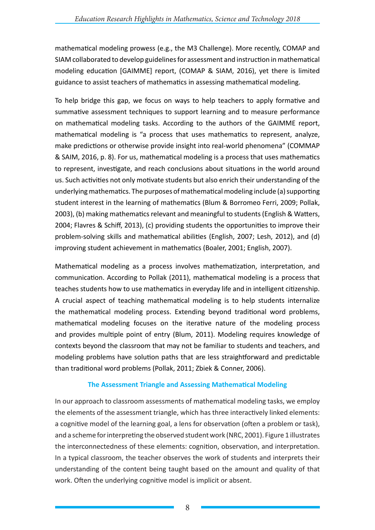mathematical modeling prowess (e.g., the M3 Challenge). More recently, COMAP and SIAM collaborated to develop guidelines for assessment and instruction in mathematical modeling education [GAIMME] report, (COMAP & SIAM, 2016), yet there is limited guidance to assist teachers of mathematics in assessing mathematical modeling.

To help bridge this gap, we focus on ways to help teachers to apply formative and summative assessment techniques to support learning and to measure performance on mathematical modeling tasks. According to the authors of the GAIMME report, mathematical modeling is "a process that uses mathematics to represent, analyze, make predictions or otherwise provide insight into real-world phenomena" (COMMAP & SAIM, 2016, p. 8). For us, mathematical modeling is a process that uses mathematics to represent, investigate, and reach conclusions about situations in the world around us. Such activities not only motivate students but also enrich their understanding of the underlying mathematics. The purposes of mathematical modeling include (a) supporting student interest in the learning of mathematics (Blum & Borromeo Ferri, 2009; Pollak, 2003), (b) making mathematics relevant and meaningful to students (English & Watters, 2004; Flavres & Schiff, 2013), (c) providing students the opportunities to improve their problem-solving skills and mathematical abilities (English, 2007; Lesh, 2012), and (d) improving student achievement in mathematics (Boaler, 2001; English, 2007).

Mathematical modeling as a process involves mathematization, interpretation, and communication. According to Pollak (2011), mathematical modeling is a process that teaches students how to use mathematics in everyday life and in intelligent citizenship. A crucial aspect of teaching mathematical modeling is to help students internalize the mathematical modeling process. Extending beyond traditional word problems, mathematical modeling focuses on the iterative nature of the modeling process and provides multiple point of entry (Blum, 2011). Modeling requires knowledge of contexts beyond the classroom that may not be familiar to students and teachers, and modeling problems have solution paths that are less straightforward and predictable than traditional word problems (Pollak, 2011; Zbiek & Conner, 2006).

## **The Assessment Triangle and Assessing Mathematical Modeling**

In our approach to classroom assessments of mathematical modeling tasks, we employ the elements of the assessment triangle, which has three interactively linked elements: a cognitive model of the learning goal, a lens for observation (often a problem or task), and a scheme for interpreting the observed student work (NRC, 2001). Figure 1 illustrates the interconnectedness of these elements: cognition, observation, and interpretation. In a typical classroom, the teacher observes the work of students and interprets their understanding of the content being taught based on the amount and quality of that work. Often the underlying cognitive model is implicit or absent.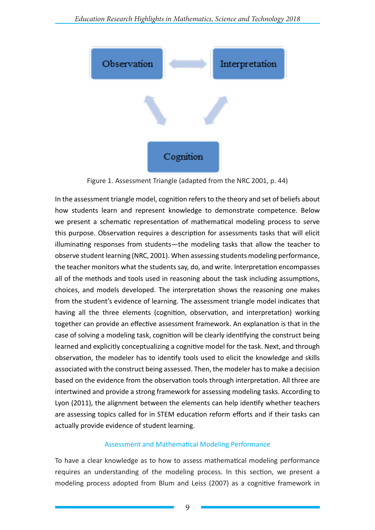

Figure 1. Assessment Triangle (adapted from the NRC 2001, p. 44)

In the assessment triangle model, cognition refers to the theory and set of beliefs about how students learn and represent knowledge to demonstrate competence. Below we present a schematic representation of mathematical modeling process to serve this purpose. Observation requires a description for assessments tasks that will elicit illuminating responses from students—the modeling tasks that allow the teacher to observe student learning (NRC, 2001). When assessing students modeling performance, the teacher monitors what the students say, do, and write. Interpretation encompasses all of the methods and tools used in reasoning about the task including assumptions, choices, and models developed. The interpretation shows the reasoning one makes from the student's evidence of learning. The assessment triangle model indicates that having all the three elements (cognition, observation, and interpretation) working together can provide an effective assessment framework. An explanation is that in the case of solving a modeling task, cognition will be clearly identifying the construct being learned and explicitly conceptualizing a cognitive model for the task. Next, and through observation, the modeler has to identify tools used to elicit the knowledge and skills associated with the construct being assessed. Then, the modeler has to make a decision based on the evidence from the observation tools through interpretation. All three are intertwined and provide a strong framework for assessing modeling tasks. According to Lyon (2011), the alignment between the elements can help identify whether teachers are assessing topics called for in STEM education reform efforts and if their tasks can actually provide evidence of student learning.

## Assessment and Mathematical Modeling Performance

To have a clear knowledge as to how to assess mathematical modeling performance requires an understanding of the modeling process. In this section, we present a modeling process adopted from Blum and Leiss (2007) as a cognitive framework in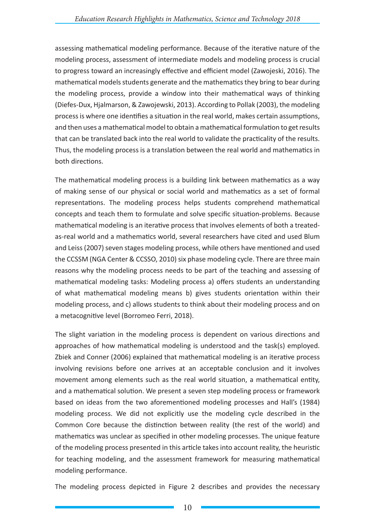assessing mathematical modeling performance. Because of the iterative nature of the modeling process, assessment of intermediate models and modeling process is crucial to progress toward an increasingly effective and efficient model (Zawojeski, 2016). The mathematical models students generate and the mathematics they bring to bear during the modeling process, provide a window into their mathematical ways of thinking (Diefes-Dux, Hjalmarson, & Zawojewski, 2013). According to Pollak (2003), the modeling process is where one identifies a situation in the real world, makes certain assumptions, and then uses a mathematical model to obtain a mathematical formulation to get results that can be translated back into the real world to validate the practicality of the results. Thus, the modeling process is a translation between the real world and mathematics in both directions.

The mathematical modeling process is a building link between mathematics as a way of making sense of our physical or social world and mathematics as a set of formal representations. The modeling process helps students comprehend mathematical concepts and teach them to formulate and solve specific situation-problems. Because mathematical modeling is an iterative process that involves elements of both a treatedas-real world and a mathematics world, several researchers have cited and used Blum and Leiss (2007) seven stages modeling process, while others have mentioned and used the CCSSM (NGA Center & CCSSO, 2010) six phase modeling cycle. There are three main reasons why the modeling process needs to be part of the teaching and assessing of mathematical modeling tasks: Modeling process a) offers students an understanding of what mathematical modeling means b) gives students orientation within their modeling process, and c) allows students to think about their modeling process and on a metacognitive level (Borromeo Ferri, 2018).

The slight variation in the modeling process is dependent on various directions and approaches of how mathematical modeling is understood and the task(s) employed. Zbiek and Conner (2006) explained that mathematical modeling is an iterative process involving revisions before one arrives at an acceptable conclusion and it involves movement among elements such as the real world situation, a mathematical entity, and a mathematical solution. We present a seven step modeling process or framework based on ideas from the two aforementioned modeling processes and Hall's (1984) modeling process. We did not explicitly use the modeling cycle described in the Common Core because the distinction between reality (the rest of the world) and mathematics was unclear as specified in other modeling processes. The unique feature of the modeling process presented in this article takes into account reality, the heuristic for teaching modeling, and the assessment framework for measuring mathematical modeling performance.

The modeling process depicted in Figure 2 describes and provides the necessary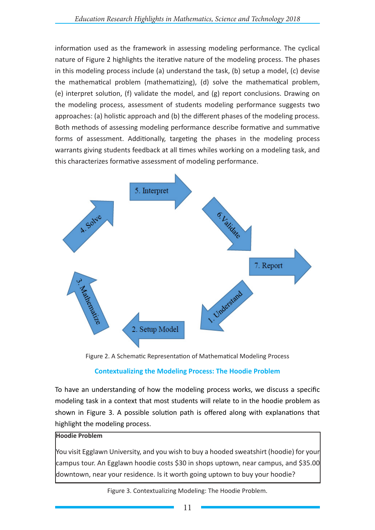information used as the framework in assessing modeling performance. The cyclical nature of Figure 2 highlights the iterative nature of the modeling process. The phases in this modeling process include (a) understand the task, (b) setup a model, (c) devise the mathematical problem (mathematizing), (d) solve the mathematical problem, (e) interpret solution, (f) validate the model, and (g) report conclusions. Drawing on the modeling process, assessment of students modeling performance suggests two approaches: (a) holistic approach and (b) the different phases of the modeling process. Both methods of assessing modeling performance describe formative and summative forms of assessment. Additionally, targeting the phases in the modeling process warrants giving students feedback at all times whiles working on a modeling task, and this characterizes formative assessment of modeling performance.



Figure 2. A Schematic Representation of Mathematical Modeling Process

## **Contextualizing the Modeling Process: The Hoodie Problem**

To have an understanding of how the modeling process works, we discuss a specific modeling task in a context that most students will relate to in the hoodie problem as shown in Figure 3. A possible solution path is offered along with explanations that highlight the modeling process.

## **Hoodie Problem**

You visit Egglawn University, and you wish to buy a hooded sweatshirt (hoodie) for your campus tour. An Egglawn hoodie costs \$30 in shops uptown, near campus, and \$35.00 downtown, near your residence. Is it worth going uptown to buy your hoodie?

Figure 3. Contextualizing Modeling: The Hoodie Problem.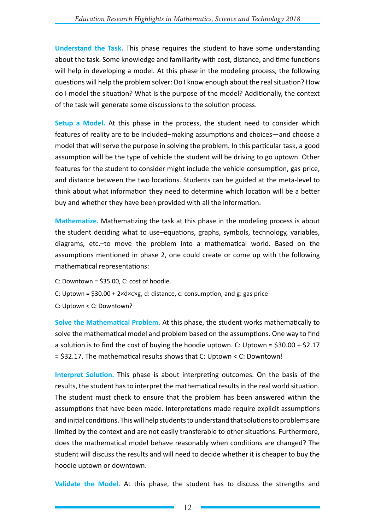**Understand the Task.** This phase requires the student to have some understanding about the task. Some knowledge and familiarity with cost, distance, and time functions will help in developing a model. At this phase in the modeling process, the following questions will help the problem solver: Do I know enough about the real situation? How do I model the situation? What is the purpose of the model? Additionally, the context of the task will generate some discussions to the solution process.

**Setup a Model.** At this phase in the process, the student need to consider which features of reality are to be included–making assumptions and choices—and choose a model that will serve the purpose in solving the problem. In this particular task, a good assumption will be the type of vehicle the student will be driving to go uptown. Other features for the student to consider might include the vehicle consumption, gas price, and distance between the two locations. Students can be guided at the meta-level to think about what information they need to determine which location will be a better buy and whether they have been provided with all the information.

**Mathematize.** Mathematizing the task at this phase in the modeling process is about the student deciding what to use–equations, graphs, symbols, technology, variables, diagrams, etc.–to move the problem into a mathematical world. Based on the assumptions mentioned in phase 2, one could create or come up with the following mathematical representations:

- C: Downtown = \$35.00, C: cost of hoodie.
- C: Uptown =  $$30.00 + 2 \times d \times c \times g$ , d: distance, c: consumption, and g: gas price
- C: Uptown < C: Downtown?

**Solve the Mathematical Problem.** At this phase, the student works mathematically to solve the mathematical model and problem based on the assumptions. One way to find a solution is to find the cost of buying the hoodie uptown. C: Uptown  $\approx$  \$30.00 + \$2.17 = \$32.17. The mathematical results shows that C: Uptown < C: Downtown!

**Interpret Solution.** This phase is about interpreting outcomes. On the basis of the results, the student has to interpret the mathematical results in the real world situation. The student must check to ensure that the problem has been answered within the assumptions that have been made. Interpretations made require explicit assumptions and initial conditions. This will help students to understand that solutions to problems are limited by the context and are not easily transferable to other situations. Furthermore, does the mathematical model behave reasonably when conditions are changed? The student will discuss the results and will need to decide whether it is cheaper to buy the hoodie uptown or downtown.

**Validate the Model.** At this phase, the student has to discuss the strengths and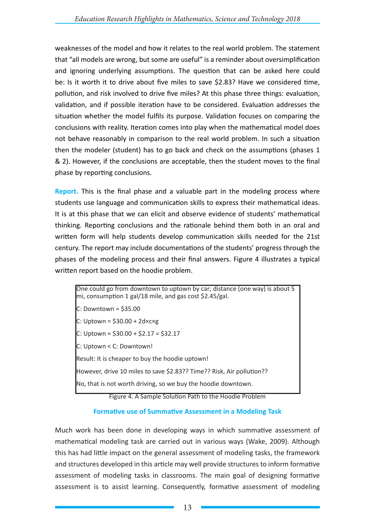weaknesses of the model and how it relates to the real world problem. The statement that "all models are wrong, but some are useful" is a reminder about oversimplification and ignoring underlying assumptions. The question that can be asked here could be: Is it worth it to drive about five miles to save \$2.83? Have we considered time, pollution, and risk involved to drive five miles? At this phase three things: evaluation, validation, and if possible iteration have to be considered. Evaluation addresses the situation whether the model fulfils its purpose. Validation focuses on comparing the conclusions with reality. Iteration comes into play when the mathematical model does not behave reasonably in comparison to the real world problem. In such a situation then the modeler (student) has to go back and check on the assumptions (phases 1 & 2). However, if the conclusions are acceptable, then the student moves to the final phase by reporting conclusions.

**Report.** This is the final phase and a valuable part in the modeling process where students use language and communication skills to express their mathematical ideas. It is at this phase that we can elicit and observe evidence of students' mathematical thinking. Reporting conclusions and the rationale behind them both in an oral and written form will help students develop communication skills needed for the 21st century. The report may include documentations of the students' progress through the phases of the modeling process and their final answers. Figure 4 illustrates a typical written report based on the hoodie problem.

One could go from downtown to uptown by car; distance (one way) is about 5 mi, consumption 1 gal/18 mile, and gas cost \$2.45/gal.  $C:$  Downtown = \$35.00  $C:$  Uptown = \$30.00 + 2d $\times$ c $\times$ g C: Uptown ≈ \$30.00 + \$2.17 = \$32.17 C: Uptown < C: Downtown! Result: It is cheaper to buy the hoodie uptown! However, drive 10 miles to save \$2.83?? Time?? Risk, Air pollution?? No, that is not worth driving, so we buy the hoodie downtown.

Figure 4. A Sample Solution Path to the Hoodie Problem

## **Formative use of Summative Assessment in a Modeling Task**

Much work has been done in developing ways in which summative assessment of mathematical modeling task are carried out in various ways (Wake, 2009). Although this has had little impact on the general assessment of modeling tasks, the framework and structures developed in this article may well provide structures to inform formative assessment of modeling tasks in classrooms. The main goal of designing formative assessment is to assist learning. Consequently, formative assessment of modeling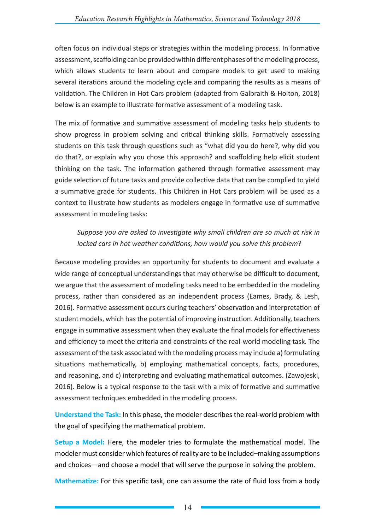often focus on individual steps or strategies within the modeling process. In formative assessment, scaffolding can be provided within different phases of the modeling process, which allows students to learn about and compare models to get used to making several iterations around the modeling cycle and comparing the results as a means of validation. The Children in Hot Cars problem (adapted from Galbraith & Holton, 2018) below is an example to illustrate formative assessment of a modeling task.

The mix of formative and summative assessment of modeling tasks help students to show progress in problem solving and critical thinking skills. Formatively assessing students on this task through questions such as "what did you do here?, why did you do that?, or explain why you chose this approach? and scaffolding help elicit student thinking on the task. The information gathered through formative assessment may guide selection of future tasks and provide collective data that can be complied to yield a summative grade for students. This Children in Hot Cars problem will be used as a context to illustrate how students as modelers engage in formative use of summative assessment in modeling tasks:

# *Suppose you are asked to investigate why small children are so much at risk in locked cars in hot weather conditions, how would you solve this problem*?

Because modeling provides an opportunity for students to document and evaluate a wide range of conceptual understandings that may otherwise be difficult to document, we argue that the assessment of modeling tasks need to be embedded in the modeling process, rather than considered as an independent process (Eames, Brady, & Lesh, 2016). Formative assessment occurs during teachers' observation and interpretation of student models, which has the potential of improving instruction. Additionally, teachers engage in summative assessment when they evaluate the final models for effectiveness and efficiency to meet the criteria and constraints of the real-world modeling task. The assessment of the task associated with the modeling process may include a) formulating situations mathematically, b) employing mathematical concepts, facts, procedures, and reasoning, and c) interpreting and evaluating mathematical outcomes. (Zawojeski, 2016). Below is a typical response to the task with a mix of formative and summative assessment techniques embedded in the modeling process.

**Understand the Task:** In this phase, the modeler describes the real-world problem with the goal of specifying the mathematical problem.

**Setup a Model:** Here, the modeler tries to formulate the mathematical model. The modeler must consider which features of reality are to be included–making assumptions and choices—and choose a model that will serve the purpose in solving the problem.

**Mathematize:** For this specific task, one can assume the rate of fluid loss from a body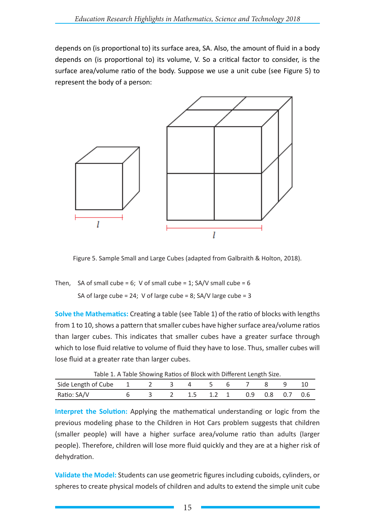depends on (is proportional to) its surface area, SA. Also, the amount of fluid in a body depends on (is proportional to) its volume, V. So a critical factor to consider, is the surface area/volume ratio of the body. Suppose we use a unit cube (see Figure 5) to represent the body of a person:



Figure 5. Sample Small and Large Cubes (adapted from Galbraith & Holton, 2018).

Then, SA of small cube = 6; V of small cube = 1;  $SA/V$  small cube = 6 SA of large cube = 24; V of large cube = 8; SA/V large cube = 3

**Solve the Mathematics:** Creating a table (see Table 1) of the ratio of blocks with lengths from 1 to 10, shows a pattern that smaller cubes have higher surface area/volume ratios than larger cubes. This indicates that smaller cubes have a greater surface through which to lose fluid relative to volume of fluid they have to lose. Thus, smaller cubes will lose fluid at a greater rate than larger cubes.

|                                             |  |  |  | Table 1. A Table Showing Ratios of Block with Different Length Size. |  |  |
|---------------------------------------------|--|--|--|----------------------------------------------------------------------|--|--|
| Side Length of Cube 1 2 3 4 5 6 7 8 9 10    |  |  |  |                                                                      |  |  |
| Ratio: SA/V 6 3 2 1.5 1.2 1 0.9 0.8 0.7 0.6 |  |  |  |                                                                      |  |  |

Table 1. A Table Showing Ratios of Block with Different Length Size.

**Interpret the Solution:** Applying the mathematical understanding or logic from the previous modeling phase to the Children in Hot Cars problem suggests that children (smaller people) will have a higher surface area/volume ratio than adults (larger people). Therefore, children will lose more fluid quickly and they are at a higher risk of dehydration.

**Validate the Model:** Students can use geometric figures including cuboids, cylinders, or spheres to create physical models of children and adults to extend the simple unit cube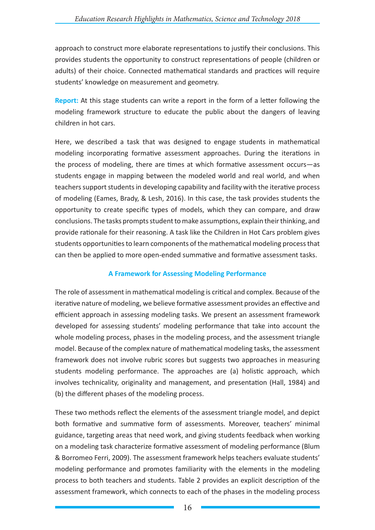approach to construct more elaborate representations to justify their conclusions. This provides students the opportunity to construct representations of people (children or adults) of their choice. Connected mathematical standards and practices will require students' knowledge on measurement and geometry.

**Report:** At this stage students can write a report in the form of a letter following the modeling framework structure to educate the public about the dangers of leaving children in hot cars.

Here, we described a task that was designed to engage students in mathematical modeling incorporating formative assessment approaches. During the iterations in the process of modeling, there are times at which formative assessment occurs—as students engage in mapping between the modeled world and real world, and when teachers support students in developing capability and facility with the iterative process of modeling (Eames, Brady, & Lesh, 2016). In this case, the task provides students the opportunity to create specific types of models, which they can compare, and draw conclusions. The tasks prompts student to make assumptions, explain their thinking, and provide rationale for their reasoning. A task like the Children in Hot Cars problem gives students opportunities to learn components of the mathematical modeling process that can then be applied to more open-ended summative and formative assessment tasks.

## **A Framework for Assessing Modeling Performance**

The role of assessment in mathematical modeling is critical and complex. Because of the iterative nature of modeling, we believe formative assessment provides an effective and efficient approach in assessing modeling tasks. We present an assessment framework developed for assessing students' modeling performance that take into account the whole modeling process, phases in the modeling process, and the assessment triangle model. Because of the complex nature of mathematical modeling tasks, the assessment framework does not involve rubric scores but suggests two approaches in measuring students modeling performance. The approaches are (a) holistic approach, which involves technicality, originality and management, and presentation (Hall, 1984) and (b) the different phases of the modeling process.

These two methods reflect the elements of the assessment triangle model, and depict both formative and summative form of assessments. Moreover, teachers' minimal guidance, targeting areas that need work, and giving students feedback when working on a modeling task characterize formative assessment of modeling performance (Blum & Borromeo Ferri, 2009). The assessment framework helps teachers evaluate students' modeling performance and promotes familiarity with the elements in the modeling process to both teachers and students. Table 2 provides an explicit description of the assessment framework, which connects to each of the phases in the modeling process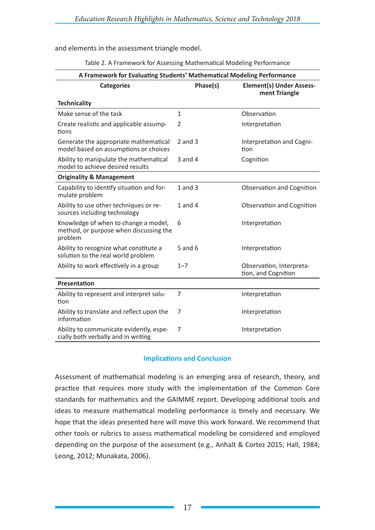and elements in the assessment triangle model.

| A Framework for Evaluating Students' Mathematical Modeling Performance                    |                |                                                  |  |  |  |  |  |  |
|-------------------------------------------------------------------------------------------|----------------|--------------------------------------------------|--|--|--|--|--|--|
| <b>Categories</b>                                                                         | Phase(s)       | <b>Element(s) Under Assess-</b><br>ment Triangle |  |  |  |  |  |  |
| <b>Technicality</b>                                                                       |                |                                                  |  |  |  |  |  |  |
| Make sense of the task                                                                    | $\mathbf{1}$   | Observation                                      |  |  |  |  |  |  |
| Create realistic and applicable assump-<br>tions                                          | $\overline{2}$ | Interpretation                                   |  |  |  |  |  |  |
| Generate the appropriate mathematical<br>model based on assumptions or choices            | $2$ and $3$    | Interpretation and Cogni-<br>tion                |  |  |  |  |  |  |
| Ability to manipulate the mathematical<br>model to achieve desired results                | $3$ and $4$    | Cognition                                        |  |  |  |  |  |  |
| <b>Originality &amp; Management</b>                                                       |                |                                                  |  |  |  |  |  |  |
| Capability to identify situation and for-<br>mulate problem                               | $1$ and $3$    | Observation and Cognition                        |  |  |  |  |  |  |
| Ability to use other techniques or re-<br>sources including technology                    | 1 and 4        | Observation and Cognition                        |  |  |  |  |  |  |
| Knowledge of when to change a model,<br>method, or purpose when discussing the<br>problem | 6              | Interpretation                                   |  |  |  |  |  |  |
| Ability to recognize what constitute a<br>solution to the real world problem              | $5$ and $6$    | Interpretation                                   |  |  |  |  |  |  |
| Ability to work effectively in a group                                                    | $1 - 7$        | Observation, Interpreta-<br>tion, and Cognition  |  |  |  |  |  |  |
| <b>Presentation</b>                                                                       |                |                                                  |  |  |  |  |  |  |
| Ability to represent and interpret solu-<br>tion                                          | 7              | Interpretation                                   |  |  |  |  |  |  |
| Ability to translate and reflect upon the<br>information                                  | 7              | Interpretation                                   |  |  |  |  |  |  |
| Ability to communicate evidently, espe-<br>cially both verbally and in writing            | 7              | Interpretation                                   |  |  |  |  |  |  |

Table 2. A Framework for Assessing Mathematical Modeling Performance

## **Implications and Conclusion**

Assessment of mathematical modeling is an emerging area of research, theory, and practice that requires more study with the implementation of the Common Core standards for mathematics and the GAIMME report. Developing additional tools and ideas to measure mathematical modeling performance is timely and necessary. We hope that the ideas presented here will move this work forward. We recommend that other tools or rubrics to assess mathematical modeling be considered and employed depending on the purpose of the assessment (e.g., Anhalt & Cortez 2015; Hall, 1984; Leong, 2012; Munakata, 2006).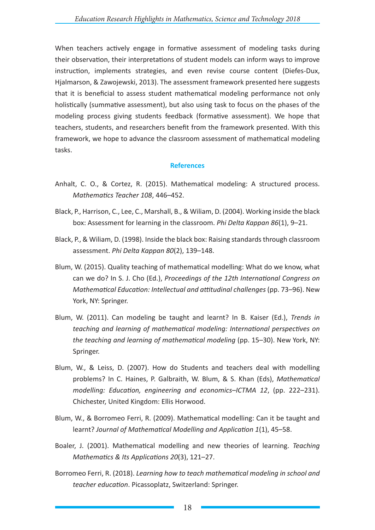When teachers actively engage in formative assessment of modeling tasks during their observation, their interpretations of student models can inform ways to improve instruction, implements strategies, and even revise course content (Diefes-Dux, Hjalmarson, & Zawojewski, 2013). The assessment framework presented here suggests that it is beneficial to assess student mathematical modeling performance not only holistically (summative assessment), but also using task to focus on the phases of the modeling process giving students feedback (formative assessment). We hope that teachers, students, and researchers benefit from the framework presented. With this framework, we hope to advance the classroom assessment of mathematical modeling tasks.

#### **References**

- Anhalt, C. O., & Cortez, R. (2015). Mathematical modeling: A structured process. *Mathematics Teacher 108*, 446–452.
- Black, P., Harrison, C., Lee, C., Marshall, B., & Wiliam, D. (2004). Working inside the black box: Assessment for learning in the classroom. *Phi Delta Kappan 86*(1), 9–21.
- Black, P., & Wiliam, D. (1998). Inside the black box: Raising standards through classroom assessment. *Phi Delta Kappan 80*(2), 139–148.
- Blum, W. (2015). Quality teaching of mathematical modelling: What do we know, what can we do? In S. J. Cho (Ed.), *Proceedings of the 12th International Congress on Mathematical Education: Intellectual and attitudinal challenges* (pp. 73–96). New York, NY: Springer.
- Blum, W. (2011). Can modeling be taught and learnt? In B. Kaiser (Ed.), *Trends in teaching and learning of mathematical modeling: International perspectives on the teaching and learning of mathematical modeling* (pp. 15–30). New York, NY: Springer.
- Blum, W., & Leiss, D. (2007). How do Students and teachers deal with modelling problems? In C. Haines, P. Galbraith, W. Blum, & S. Khan (Eds), *Mathematical modelling: Education, engineering and economics–ICTMA 12*, (pp. 222–231). Chichester, United Kingdom: Ellis Horwood.
- Blum, W., & Borromeo Ferri, R. (2009). Mathematical modelling: Can it be taught and learnt? *Journal of Mathematical Modelling and Application 1*(1), 45–58.
- Boaler, J. (2001). Mathematical modelling and new theories of learning. *Teaching Mathematics & Its Applications 20*(3), 121–27.
- Borromeo Ferri, R. (2018). *Learning how to teach mathematical modeling in school and teacher education*. Picassoplatz, Switzerland: Springer.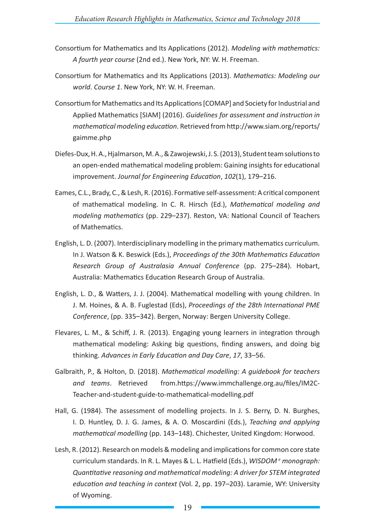- Consortium for Mathematics and Its Applications (2012). *Modeling with mathematics: A fourth year course* (2nd ed.). New York, NY: W. H. Freeman.
- Consortium for Mathematics and Its Applications (2013). *Mathematics: Modeling our world*. *Course 1*. New York, NY: W. H. Freeman.
- Consortium for Mathematics and Its Applications [COMAP] and Society for Industrial and Applied Mathematics [SIAM] (2016). *Guidelines for assessment and instruction in mathematical modeling education*. Retrieved from http://www.siam.org/reports/ gaimme.php
- Diefes-Dux, H. A., Hjalmarson, M. A., & Zawojewski, J. S. (2013), Student team solutions to an open-ended mathematical modeling problem: Gaining insights for educational improvement. *Journal for Engineering Education*, *102*(1), 179–216.
- Eames, C.L., Brady, C., & Lesh, R. (2016). Formative self-assessment: A critical component of mathematical modeling. In C. R. Hirsch (Ed.), *Mathematical modeling and modeling mathematics* (pp. 229–237). Reston, VA: National Council of Teachers of Mathematics.
- English, L. D. (2007). Interdisciplinary modelling in the primary mathematics curriculum. In J. Watson & K. Beswick (Eds.), *Proceedings of the 30th Mathematics Education Research Group of Australasia Annual Conference* (pp. 275–284). Hobart, Australia: Mathematics Education Research Group of Australia.
- English, L. D., & Watters, J. J. (2004). Mathematical modelling with young children. In J. M. Hoines, & A. B. Fuglestad (Eds), *Proceedings of the 28th International PME Conference*, (pp. 335–342). Bergen, Norway: Bergen University College.
- Flevares, L. M., & Schiff, J. R. (2013). Engaging young learners in integration through mathematical modeling: Asking big questions, finding answers, and doing big thinking. *Advances in Early Education and Day Care*, *17*, 33–56.
- Galbraith, P., & Holton, D. (2018). *Mathematical modelling: A guidebook for teachers*  and teams. Retrieved from.https://www.immchallenge.org.au/files/IM2C-Teacher-and-student-guide-to-mathematical-modelling.pdf
- Hall, G. (1984). The assessment of modelling projects. In J. S. Berry, D. N. Burghes, I. D. Huntley, D. J. G. James, & A. O. Moscardini (Eds.), *Teaching and applying mathematical modelling* (pp. 143–148). Chichester, United Kingdom: Horwood.
- Lesh, R. (2012). Research on models & modeling and implications for common core state curriculum standards. In R. L. Mayes & L. L. Hatfield (Eds.), *WISDOM <sup>e</sup> monograph: Quantitative reasoning and mathematical modeling: A driver for STEM integrated education and teaching in context* (Vol. 2, pp. 197–203). Laramie, WY: University of Wyoming.